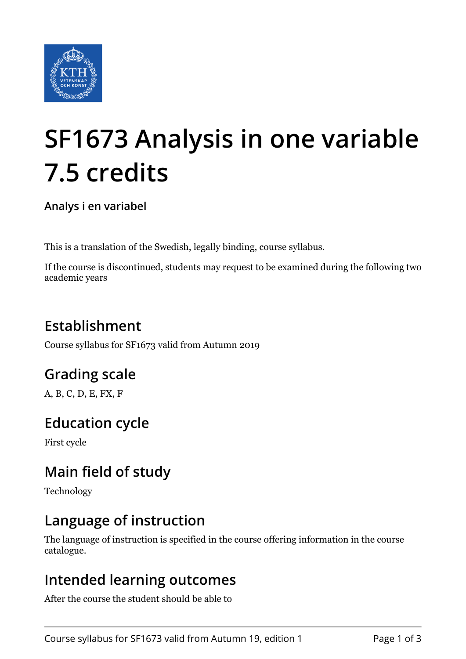

# **SF1673 Analysis in one variable 7.5 credits**

**Analys i en variabel**

This is a translation of the Swedish, legally binding, course syllabus.

If the course is discontinued, students may request to be examined during the following two academic years

# **Establishment**

Course syllabus for SF1673 valid from Autumn 2019

# **Grading scale**

A, B, C, D, E, FX, F

## **Education cycle**

First cycle

# **Main field of study**

Technology

## **Language of instruction**

The language of instruction is specified in the course offering information in the course catalogue.

#### **Intended learning outcomes**

After the course the student should be able to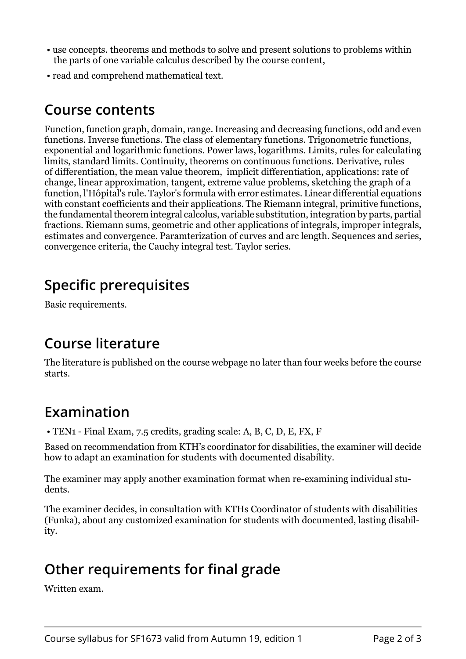- use concepts. theorems and methods to solve and present solutions to problems within the parts of one variable calculus described by the course content,
- read and comprehend mathematical text.

#### **Course contents**

Function, function graph, domain, range. Increasing and decreasing functions, odd and even functions. Inverse functions. The class of elementary functions. Trigonometric functions, exponential and logarithmic functions. Power laws, logarithms. Limits, rules for calculating limits, standard limits. Continuity, theorems on continuous functions. Derivative, rules of differentiation, the mean value theorem, implicit differentiation, applications: rate of change, linear approximation, tangent, extreme value problems, sketching the graph of a function, l'Hôpital's rule. Taylor's formula with error estimates. Linear differential equations with constant coefficients and their applications. The Riemann integral, primitive functions, the fundamental theorem integral calcolus, variable substitution, integration by parts, partial fractions. Riemann sums, geometric and other applications of integrals, improper integrals, estimates and convergence. Paramterization of curves and arc length. Sequences and series, convergence criteria, the Cauchy integral test. Taylor series.

# **Specific prerequisites**

Basic requirements.

## **Course literature**

The literature is published on the course webpage no later than four weeks before the course starts.

## **Examination**

• TEN1 - Final Exam, 7.5 credits, grading scale: A, B, C, D, E, FX, F

Based on recommendation from KTH's coordinator for disabilities, the examiner will decide how to adapt an examination for students with documented disability.

The examiner may apply another examination format when re-examining individual students.

The examiner decides, in consultation with KTHs Coordinator of students with disabilities (Funka), about any customized examination for students with documented, lasting disability.

## **Other requirements for final grade**

Written exam.